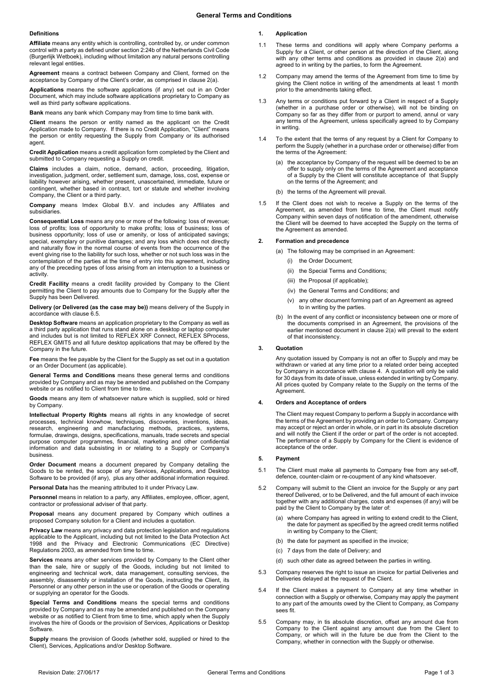### **Definitions**

**Affiliate** means any entity which is controlling, controlled by, or under common control with a party as defined under section 2:24b of the Netherlands Civil Code (Burgerlijk Wetboek), including without limitation any natural persons controlling relevant legal entities.

**Agreement** means a contract between Company and Client, formed on the acceptance by Company of the Client's order, as comprised in claus[e 2\(a\).](#page-0-0)

**Applications** means the software applications (if any) set out in an Order Document, which may include software applications proprietary to Company as well as third party software applications.

**Bank** means any bank which Company may from time to time bank with.

**Client** means the person or entity named as the applicant on the Credit Application made to Company. If there is no Credit Application, "Client" means the person or entity requesting the Supply from Company or its authorised agent

**Credit Application** means a credit application form completed by the Client and submitted to Company requesting a Supply on credit.

**Claims** includes a claim, notice, demand, action, proceeding, litigation, investigation, judgment, order, settlement sum, damage, loss, cost, expense or liability however arising, whether present, unascertained, immediate, future or contingent, whether based in contract, tort or statute and whether involving Company, the Client or a third party.

**Company** means Imdex Global B.V. and includes any Affiliates and subsidiaries.

**Consequential Loss** means any one or more of the following: loss of revenue; loss of profits; loss of opportunity to make profits; loss of business; loss of business opportunity; loss of use or amenity, or loss of anticipated savings; special, exemplary or punitive damages; and any loss which does not directly and naturally flow in the normal course of events from the occurrence of the event giving rise to the liability for such loss, whether or not such loss was in the contemplation of the parties at the time of entry into this agreement, including any of the preceding types of loss arising from an interruption to a business or activity.

**Credit Facility** means a credit facility provided by Company to the Client permitting the Client to pay amounts due to Company for the Supply after the Supply has been Delivered.

**Delivery (or Delivered (as the case may be))** means delivery of the Supply in accordance with claus[e 6.5.](#page-1-0)

**Desktop Software** means an application proprietary to the Company as well as a third party application that runs stand alone on a desktop or laptop computer and includes but is not limited to REFLEX XRF Connect, REFLEX SProcess, REFLEX GMIT5 and all future desktop applications that may be offered by the Company in the future.

**Fee** means the fee payable by the Client for the Supply as set out in a quotation or an Order Document (as applicable).

**General Terms and Conditions** means these general terms and conditions provided by Company and as may be amended and published on the Company website or as notified to Client from time to time.

**Goods** means any item of whatsoever nature which is supplied, sold or hired by Company.

**Intellectual Property Rights** means all rights in any knowledge of secret processes, technical knowhow, techniques, discoveries, inventions, ideas, research, engineering and manufacturing methods, practices, systems, formulae, drawings, designs, specifications, manuals, trade secrets and special purpose computer programmes, financial, marketing and other confidential information and data subsisting in or relating to a Supply or Company's business.

**Order Document** means a document prepared by Company detailing the Goods to be rented, the scope of any Services, Applications, and Desktop Software to be provided (if any), plus any other additional information required.

**Personal Data** has the meaning attributed to it under Privacy Law.

**Personnel** means in relation to a party, any Affiliates, employee, officer, agent, contractor or professional adviser of that party.

**Proposal** means any document prepared by Company which outlines a proposed Company solution for a Client and includes a quotation.

**Privacy Law** means any privacy and data protection legislation and regulations applicable to the Applicant, including but not limited to the Data Protection Act 1998 and the Privacy and Electronic Communications (EC Directive) Regulations 2003, as amended from time to time.

**Services** means any other services provided by Company to the Client other than the sale, hire or supply of the Goods, including but not limited to engineering and technical work, data management, consulting services, the assembly, disassembly or installation of the Goods, instructing the Client, its Personnel or any other person in the use or operation of the Goods or operating or supplying an operator for the Goods.

**Special Terms and Conditions** means the special terms and conditions provided by Company and as may be amended and published on the Company website or as notified to Client from time to time, which apply when the Supply involves the hire of Goods or the provision of Services, Applications or Desktop **Software** 

**Supply** means the provision of Goods (whether sold, supplied or hired to the Client), Services, Applications and/or Desktop Software.

# **1. Application**

- 1.1 These terms and conditions will apply where Company performs a Supply for a Client, or other person at the direction of the Client, along with any other terms and conditions as provided in clause 2(a) and agreed to in writing by the parties, to form the Agreement.
- 1.2 Company may amend the terms of the Agreement from time to time by giving the Client notice in writing of the amendments at least 1 month prior to the amendments taking effect.
- 1.3 Any terms or conditions put forward by a Client in respect of a Supply (whether in a purchase order or otherwise), will not be binding on Company so far as they differ from or purport to amend, annul or vary any terms of the Agreement, unless specifically agreed to by Company in writing.
- 1.4 To the extent that the terms of any request by a Client for Company to perform the Supply (whether in a purchase order or otherwise) differ from the terms of the Agreement:
	- (a) the acceptance by Company of the request will be deemed to be an offer to supply only on the terms of the Agreement and acceptance of a Supply by the Client will constitute acceptance of that Supply on the terms of the Agreement; and
	- (b) the terms of the Agreement will prevail
- 1.5 If the Client does not wish to receive a Supply on the terms of the Agreement, as amended from time to time, the Client must notify Company within seven days of notification of the amendment, otherwise the Client will be deemed to have accepted the Supply on the terms of the Agreement as amended.

### <span id="page-0-0"></span>**2. Formation and precedence**

- (a) The following may be comprised in an Agreement:
	- (i) the Order Document;
	- (ii) the Special Terms and Conditions;
	- (iii) the Proposal (if applicable);
	- (iv) the General Terms and Conditions; and
	- (v) any other document forming part of an Agreement as agreed to in writing by the parties.
- (b) In the event of any conflict or inconsistency between one or more of the documents comprised in an Agreement, the provisions of the earlier mentioned document in clause [2\(a\)](#page-0-0) will prevail to the extent of that inconsistency.

# **3. Quotation**

Any quotation issued by Company is not an offer to Supply and may be withdrawn or varied at any time prior to a related order being accepted by Company in accordance with clause [4.](#page-0-1) A quotation will only be valid for 30 days from its date of issue, unless extended in writing by Company. All prices quoted by Company relate to the Supply on the terms of the Agreement.

# <span id="page-0-1"></span>**4. Orders and Acceptance of orders**

The Client may request Company to perform a Supply in accordance with the terms of the Agreement by providing an order to Company. Company may accept or reject an order in whole, or in part in its absolute discretion and will notify the Client if the order or part of the order is not accepted. The performance of a Supply by Company for the Client is evidence of acceptance of the order.

### **5. Payment**

- 5.1 The Client must make all payments to Company free from any set-off, defence, counter-claim or re-coupment of any kind whatsoever.
- 5.2 Company will submit to the Client an invoice for the Supply or any part thereof Delivered, or to be Delivered, and the full amount of each invoice together with any additional charges, costs and expenses (if any) will be paid by the Client to Company by the later of:
	- (a) where Company has agreed in writing to extend credit to the Client, the date for payment as specified by the agreed credit terms notified in writing by Company to the Client;
	- (b) the date for payment as specified in the invoice;
	- (c) 7 days from the date of Delivery; and
	- (d) such other date as agreed between the parties in writing.
- 5.3 Company reserves the right to issue an invoice for partial Deliveries and Deliveries delayed at the request of the Client.
- 5.4 If the Client makes a payment to Company at any time whether in connection with a Supply or otherwise, Company may apply the payment to any part of the amounts owed by the Client to Company, as Company sees fit.
- 5.5 Company may, in tis absolute discretion, offset any amount due from Company that, it we assessed also every streamly amount the Client to Company, or which will in the future be due from the Client to the Company, whether in connection with the Supply or otherwise.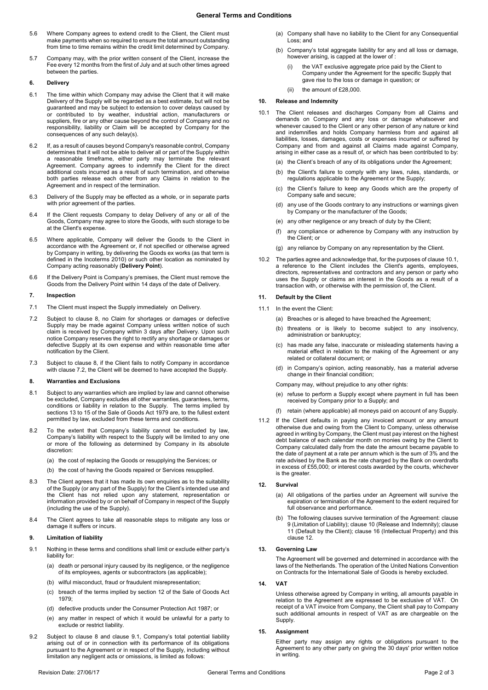- 5.6 Where Company agrees to extend credit to the Client, the Client must make payments when so required to ensure the total amount outstanding from time to time remains within the credit limit determined by Company.
- 5.7 Company may, with the prior written consent of the Client, increase the Fee every 12 months from the first of July and at such other times agreed between the parties.

# **6. Delivery**

- 6.1 The time within which Company may advise the Client that it will make Delivery of the Supply will be regarded as a best estimate, but will not be guaranteed and may be subject to extension to cover delays caused by or contributed to by weather, industrial action, manufacturers or suppliers, fire or any other cause beyond the control of Company and no responsibility, liability or Claim will be accepted by Company for the consequences of any such delay(s).
- 6.2 If, as a result of causes beyond Company's reasonable control, Company determines that it will not be able to deliver all or part of the Supply within a reasonable timeframe, either party may terminate the relevant Agreement. Company agrees to indemnify the Client for the direct additional costs incurred as a result of such termination, and otherwise both parties release each other from any Claims in relation to the Agreement and in respect of the termination.
- 6.3 Delivery of the Supply may be effected as a whole, or in separate parts with prior agreement of the parties
- 6.4 If the Client requests Company to delay Delivery of any or all of the Goods, Company may agree to store the Goods, with such storage to be at the Client's expense.
- <span id="page-1-0"></span>6.5 Where applicable, Company will deliver the Goods to the Client in accordance with the Agreement or, if not specified or otherwise agreed by Company in writing, by delivering the Goods ex works (as that term is defined in the Incoterms 2010) or such other location as nominated by Company acting reasonably (**Delivery Point**).
- 6.6 If the Delivery Point is Company's premises, the Client must remove the Goods from the Delivery Point within 14 days of the date of Delivery.

#### **7. Inspection**

- 7.1 The Client must inspect the Supply immediately on Delivery.
- <span id="page-1-2"></span>7.2 Subject to clause [8,](#page-1-1) no Claim for shortages or damages or defective Supply may be made against Company unless written notice of such claim is received by Company within 3 days after Delivery. Upon such notice Company reserves the right to rectify any shortage or damages or defective Supply at its own expense and within reasonable time after notification by the Client.
- 7.3 Subject to clause [8,](#page-1-1) if the Client fails to notify Company in accordance with clause [7.2,](#page-1-2) the Client will be deemed to have accepted the Supply.

# <span id="page-1-1"></span>**8. Warranties and Exclusions**

- 8.1 Subject to any warranties which are implied by law and cannot otherwise be excluded, Company excludes all other warranties, guarantees, terms, conditions or liability in relation to the Supply. The terms implied by sections 13 to 15 of the Sale of Goods Act 1979 are, to the fullest extent permitted by law, excluded from these terms and conditions.
- 8.2 To the extent that Company's liability cannot be excluded by law, Company's liability with respect to the Supply will be limited to any one or more of the following as determined by Company in its absolute discretion:
	- (a) the cost of replacing the Goods or resupplying the Services; or
	- (b) the cost of having the Goods repaired or Services resupplied.
- 8.3 The Client agrees that it has made its own enquiries as to the suitability of the Supply (or any part of the Supply) for the Client's intended use and the Client has not relied upon any statement, representation or information provided by or on behalf of Company in respect of the Supply (including the use of the Supply).
- 8.4 The Client agrees to take all reasonable steps to mitigate any loss or damage it suffers or incurs.

# <span id="page-1-5"></span>**9. Limitation of liability**

- <span id="page-1-3"></span>9.1 Nothing in these terms and conditions shall limit or exclude either party's liability for:
	- (a) death or personal injury caused by its negligence, or the negligence of its employees, agents or subcontractors (as applicable);
	- (b) wilful misconduct, fraud or fraudulent misrepresentation;
	- (c) breach of the terms implied by section 12 of the Sale of Goods Act 1979;
	- (d) defective products under the Consumer Protection Act 1987; or
	- (e) any matter in respect of which it would be unlawful for a party to exclude or restrict liability.
- 9.2 Subject to clause 8 and clause [9.1,](#page-1-3) Company's total potential liability arising out of or in connection with its performance of its obligations pursuant to the Agreement or in respect of the Supply, including without limitation any negligent acts or omissions, is limited as follows:
- (a) Company shall have no liability to the Client for any Consequential Loss; and
- (b) Company's total aggregate liability for any and all loss or damage, however arising, is capped at the lower of :
	- (i) the VAT exclusive aggregate price paid by the Client to Company under the Agreement for the specific Supply that gave rise to the loss or damage in question; or
	- $(ii)$  the amount of  $f$  28,000

#### <span id="page-1-6"></span>**10. Release and Indemnity**

- <span id="page-1-4"></span>10.1 The Client releases and discharges Company from all Claims and demands on Company and any loss or damage whatsoever and whenever caused to the Client or any other person of any nature or kind and indemnifies and holds Company harmless from and against all liabilities, losses, damages, costs or expenses incurred or suffered by Company and from and against all Claims made against Company, arising in either case as a result of, or which has been contributed to by:
	- (a) the Client's breach of any of its obligations under the Agreement;
	- (b) the Client's failure to comply with any laws, rules, standards, or regulations applicable to the Agreement or the Supply;
	- (c) the Client's failure to keep any Goods which are the property of Company safe and secure;
	- (d) any use of the Goods contrary to any instructions or warnings given by Company or the manufacturer of the Goods;
	- (e) any other negligence or any breach of duty by the Client;
	- (f) any compliance or adherence by Company with any instruction by the Client; or
	- (g) any reliance by Company on any representation by the Client.
- 10.2 The parties agree and acknowledge that, for the purposes of claus[e 10.1,](#page-1-4)  a reference to the Client includes the Client's agents, employees, directors, representatives and contractors and any person or party who uses the Supply or claims an interest in the Goods as a result of a transaction with, or otherwise with the permission of, the Client.

# <span id="page-1-7"></span>**11. Default by the Client**

- 11.1 In the event the Client:
	- (a) Breaches or is alleged to have breached the Agreement;
	- (b) threatens or is likely to become subject to any insolvency, administration or bankruptcy;
	- (c) has made any false, inaccurate or misleading statements having a material effect in relation to the making of the Agreement or any related or collateral document; or
	- (d) in Company's opinion, acting reasonably, has a material adverse change in their financial condition;

Company may, without prejudice to any other rights:

- (e) refuse to perform a Supply except where payment in full has been received by Company prior to a Supply; and
- (f) retain (where applicable) all moneys paid on account of any Supply.
- 11.2 If the Client defaults in paying any invoiced amount or any amount otherwise due and owing from the Client to Company, unless otherwise agreed in writing by Company, the Client must pay interest on the highest debt balance of each calendar month on monies owing by the Client to Company calculated daily from the date the amount became payable to the date of payment at a rate per annum which is the sum of 3% and the rate advised by the Bank as the rate charged by the Bank on overdrafts in excess of £55,000; or interest costs awarded by the courts, whichever is the greater.

# <span id="page-1-8"></span>**12. Survival**

- (a) All obligations of the parties under an Agreement will survive the expiration or termination of the Agreement to the extent required for full observance and performance.
- (b) The following clauses survive termination of the Agreement: clause [9](#page-1-5) (Limitation of Liability); clause [10](#page-1-6) (Release and Indemnity); clause [11](#page-1-7) (Default by the Client); clause 16 (Intellectual Property) and this clause [12.](#page-1-8)

#### **13. Governing Law**

The Agreement will be governed and determined in accordance with the laws of the Netherlands. The operation of the United Nations Convention on Contracts for the International Sale of Goods is hereby excluded.

#### **14. VAT**

Unless otherwise agreed by Company in writing, all amounts payable in relation to the Agreement are expressed to be exclusive of VAT. On receipt of a VAT invoice from Company, the Client shall pay to Company such additional amounts in respect of VAT as are chargeable on the Supply.

#### **15. Assignment**

Either party may assign any rights or obligations pursuant to the Agreement to any other party on giving the 30 days' prior written notice in writing.